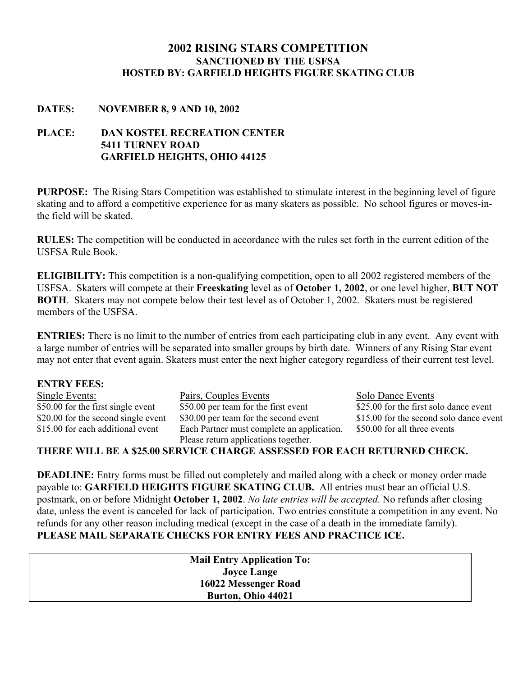# **2002 RISING STARS COMPETITION SANCTIONED BY THE USFSA HOSTED BY: GARFIELD HEIGHTS FIGURE SKATING CLUB**

## **DATES: NOVEMBER 8, 9 AND 10, 2002**

# **PLACE: DAN KOSTEL RECREATION CENTER 5411 TURNEY ROAD GARFIELD HEIGHTS, OHIO 44125**

**PURPOSE:** The Rising Stars Competition was established to stimulate interest in the beginning level of figure skating and to afford a competitive experience for as many skaters as possible. No school figures or moves-inthe field will be skated.

**RULES:** The competition will be conducted in accordance with the rules set forth in the current edition of the USFSA Rule Book.

**ELIGIBILITY:** This competition is a non-qualifying competition, open to all 2002 registered members of the USFSA. Skaters will compete at their **Freeskating** level as of **October 1, 2002**, or one level higher, **BUT NOT BOTH**. Skaters may not compete below their test level as of October 1, 2002. Skaters must be registered members of the USFSA

**ENTRIES:** There is no limit to the number of entries from each participating club in any event. Any event with a large number of entries will be separated into smaller groups by birth date. Winners of any Rising Star event may not enter that event again. Skaters must enter the next higher category regardless of their current test level.

| <b>ENTRY FEES:</b>                  |                                                                          |                                         |
|-------------------------------------|--------------------------------------------------------------------------|-----------------------------------------|
| <b>Single Events:</b>               | Pairs, Couples Events                                                    | <b>Solo Dance Events</b>                |
| \$50.00 for the first single event  | \$50.00 per team for the first event                                     | \$25.00 for the first solo dance event  |
| \$20.00 for the second single event | \$30.00 per team for the second event                                    | \$15.00 for the second solo dance event |
| \$15.00 for each additional event   | Each Partner must complete an application.                               | \$50.00 for all three events            |
|                                     | Please return applications together.                                     |                                         |
|                                     | THERE WILL BE A \$25.00 SERVICE CHARGE ASSESSED FOR EACH RETURNED CHECK. |                                         |

**DEADLINE:** Entry forms must be filled out completely and mailed along with a check or money order made payable to: **GARFIELD HEIGHTS FIGURE SKATING CLUB.** All entries must bear an official U.S. postmark, on or before Midnight **October 1, 2002**. *No late entries will be accepted*. No refunds after closing date, unless the event is canceled for lack of participation. Two entries constitute a competition in any event. No refunds for any other reason including medical (except in the case of a death in the immediate family). **PLEASE MAIL SEPARATE CHECKS FOR ENTRY FEES AND PRACTICE ICE.** 

> **Mail Entry Application To: Joyce Lange 16022 Messenger Road Burton, Ohio 44021**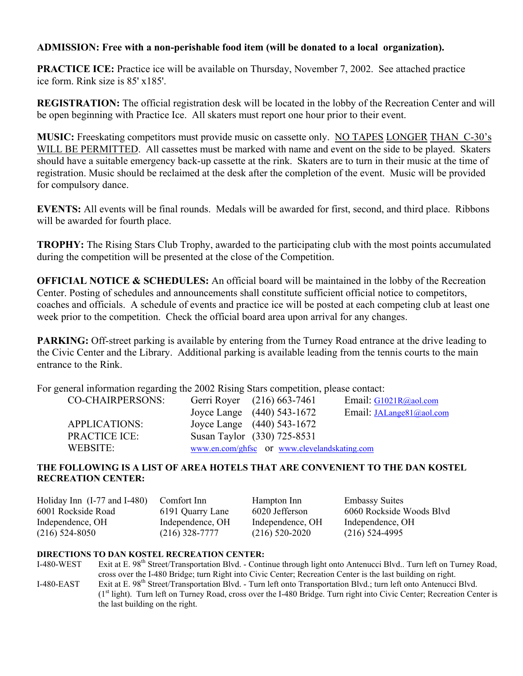# **ADMISSION: Free with a non-perishable food item (will be donated to a local organization).**

**PRACTICE ICE:** Practice ice will be available on Thursday, November 7, 2002. See attached practice ice form. Rink size is 85' x185'.

**REGISTRATION:** The official registration desk will be located in the lobby of the Recreation Center and will be open beginning with Practice Ice. All skaters must report one hour prior to their event.

**MUSIC:** Freeskating competitors must provide music on cassette only. NO TAPES LONGER THAN C-30's WILL BE PERMITTED. All cassettes must be marked with name and event on the side to be played. Skaters should have a suitable emergency back-up cassette at the rink. Skaters are to turn in their music at the time of registration. Music should be reclaimed at the desk after the completion of the event. Music will be provided for compulsory dance.

**EVENTS:** All events will be final rounds. Medals will be awarded for first, second, and third place. Ribbons will be awarded for fourth place.

**TROPHY:** The Rising Stars Club Trophy, awarded to the participating club with the most points accumulated during the competition will be presented at the close of the Competition.

**OFFICIAL NOTICE & SCHEDULES:** An official board will be maintained in the lobby of the Recreation Center. Posting of schedules and announcements shall constitute sufficient official notice to competitors, coaches and officials. A schedule of events and practice ice will be posted at each competing club at least one week prior to the competition. Check the official board area upon arrival for any changes.

**PARKING:** Off-street parking is available by entering from the Turney Road entrance at the drive leading to the Civic Center and the Library. Additional parking is available leading from the tennis courts to the main entrance to the Rink.

For general information regarding the 2002 Rising Stars competition, please contact:

| <b>CO-CHAIRPERSONS:</b> | Gerri Royer (216) 663-7461                   | Email: $G1021R$ @aol.com        |
|-------------------------|----------------------------------------------|---------------------------------|
|                         | Joyce Lange (440) 543-1672                   | Email: <i>JALange81@aol.com</i> |
| <b>APPLICATIONS:</b>    | Joyce Lange (440) 543-1672                   |                                 |
| <b>PRACTICE ICE:</b>    | Susan Taylor (330) 725-8531                  |                                 |
| WEBSITE:                | www.en.com/ghfsc or www.clevelandskating.com |                                 |

#### **THE FOLLOWING IS A LIST OF AREA HOTELS THAT ARE CONVENIENT TO THE DAN KOSTEL RECREATION CENTER:**

| Holiday Inn $(I-77 \text{ and } I-480)$ | Comfort Inn      | Hampton Inn      | <b>Embassy Suites</b>    |
|-----------------------------------------|------------------|------------------|--------------------------|
| 6001 Rockside Road                      | 6191 Quarry Lane | 6020 Jefferson   | 6060 Rockside Woods Blyd |
| Independence, OH                        | Independence, OH | Independence, OH | Independence, OH         |
| $(216)$ 524-8050                        | $(216)$ 328-7777 | $(216)$ 520-2020 | $(216)$ 524-4995         |

#### **DIRECTIONS TO DAN KOSTEL RECREATION CENTER:**

the last building on the right.

I-480-WEST Exit at E. 98<sup>th</sup> Street/Transportation Blvd. - Continue through light onto Antenucci Blvd.. Turn left on Turney Road, cross over the I-480 Bridge; turn Right into Civic Center; Recreation Center is the last building on right. I-480-EAST Exit at E. 98<sup>th</sup> Street/Transportation Blvd. - Turn left onto Transportation Blvd.; turn left onto Antenucci Blvd. (1st light). Turn left on Turney Road, cross over the I-480 Bridge. Turn right into Civic Center; Recreation Center is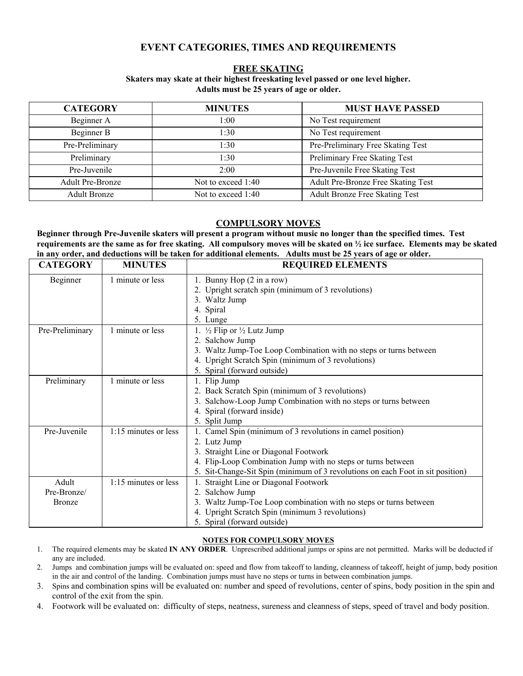# **EVENT CATEGORIES, TIMES AND REQUIREMENTS**

#### **FREE SKATING**

#### **Skaters may skate at their highest freeskating level passed or one level higher. Adults must be 25 years of age or older.**

| <b>CATEGORY</b>         | <b>MINUTES</b>     | <b>MUST HAVE PASSED</b>               |
|-------------------------|--------------------|---------------------------------------|
| Beginner A              | 1:00               | No Test requirement                   |
| Beginner B              | 1:30               | No Test requirement                   |
| Pre-Preliminary         | 1:30               | Pre-Preliminary Free Skating Test     |
| Preliminary             | 1:30               | Preliminary Free Skating Test         |
| Pre-Juvenile            | 2:00               | Pre-Juvenile Free Skating Test        |
| <b>Adult Pre-Bronze</b> | Not to exceed 1:40 | Adult Pre-Bronze Free Skating Test    |
| <b>Adult Bronze</b>     | Not to exceed 1:40 | <b>Adult Bronze Free Skating Test</b> |

#### **COMPULSORY MOVES**

**Beginner through Pre-Juvenile skaters will present a program without music no longer than the specified times. Test requirements are the same as for free skating. All compulsory moves will be skated on ½ ice surface. Elements may be skated in any order, and deductions will be taken for additional elements. Adults must be 25 years of age or older.**

| <b>CATEGORY</b> | <b>MINUTES</b>       | <b>REQUIRED ELEMENTS</b>                                                       |
|-----------------|----------------------|--------------------------------------------------------------------------------|
| Beginner        | 1 minute or less     | 1. Bunny Hop (2 in a row)                                                      |
|                 |                      | 2. Upright scratch spin (minimum of 3 revolutions)                             |
|                 |                      | 3. Waltz Jump                                                                  |
|                 |                      | 4. Spiral                                                                      |
|                 |                      | 5. Lunge                                                                       |
| Pre-Preliminary | 1 minute or less     | 1. $\frac{1}{2}$ Flip or $\frac{1}{2}$ Lutz Jump                               |
|                 |                      | 2. Salchow Jump                                                                |
|                 |                      | Waltz Jump-Toe Loop Combination with no steps or turns between<br>3.           |
|                 |                      | 4. Upright Scratch Spin (minimum of 3 revolutions)                             |
|                 |                      | 5. Spiral (forward outside)                                                    |
| Preliminary     | 1 minute or less     | 1. Flip Jump                                                                   |
|                 |                      | 2. Back Scratch Spin (minimum of 3 revolutions)                                |
|                 |                      | Salchow-Loop Jump Combination with no steps or turns between<br>3.             |
|                 |                      | 4. Spiral (forward inside)                                                     |
|                 |                      | 5. Split Jump                                                                  |
| Pre-Juvenile    | 1:15 minutes or less | 1. Camel Spin (minimum of 3 revolutions in camel position)                     |
|                 |                      | 2. Lutz Jump                                                                   |
|                 |                      | 3. Straight Line or Diagonal Footwork                                          |
|                 |                      | 4. Flip-Loop Combination Jump with no steps or turns between                   |
|                 |                      | 5. Sit-Change-Sit Spin (minimum of 3 revolutions on each Foot in sit position) |
| Adult           | 1:15 minutes or less | Straight Line or Diagonal Footwork                                             |
| Pre-Bronze/     |                      | 2. Salchow Jump                                                                |
| <b>Bronze</b>   |                      | 3. Waltz Jump-Toe Loop combination with no steps or turns between              |
|                 |                      | 4. Upright Scratch Spin (minimum 3 revolutions)                                |
|                 |                      | 5. Spiral (forward outside)                                                    |

#### **NOTES FOR COMPULSORY MOVES**

- 1. The required elements may be skated **IN ANY ORDER**. Unprescribed additional jumps or spins are not permitted. Marks will be deducted if any are included.
- 2. Jumps and combination jumps will be evaluated on: speed and flow from takeoff to landing, cleanness of takeoff, height of jump, body position in the air and control of the landing. Combination jumps must have no steps or turns in between combination jumps.
- 3. Spins and combination spins will be evaluated on: number and speed of revolutions, center of spins, body position in the spin and control of the exit from the spin.
- 4. Footwork will be evaluated on: difficulty of steps, neatness, sureness and cleanness of steps, speed of travel and body position.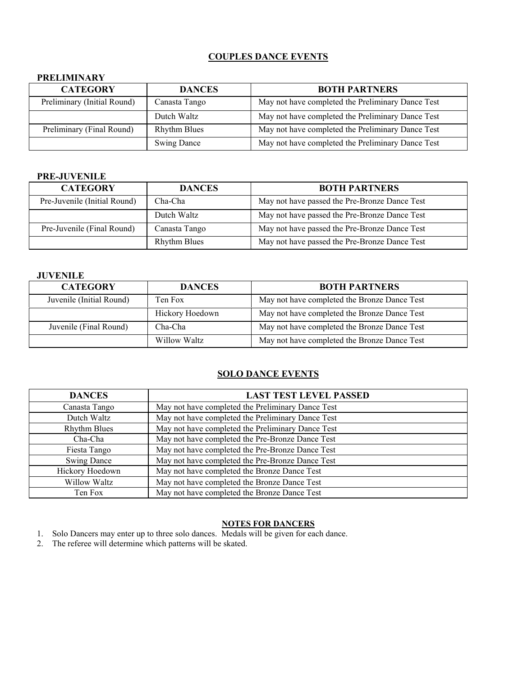## **COUPLES DANCE EVENTS**

#### **PRELIMINARY**

| <b>CATEGORY</b>             | <b>DANCES</b>       | <b>BOTH PARTNERS</b>                              |
|-----------------------------|---------------------|---------------------------------------------------|
| Preliminary (Initial Round) | Canasta Tango       | May not have completed the Preliminary Dance Test |
|                             | Dutch Waltz         | May not have completed the Preliminary Dance Test |
| Preliminary (Final Round)   | <b>Rhythm Blues</b> | May not have completed the Preliminary Dance Test |
|                             | <b>Swing Dance</b>  | May not have completed the Preliminary Dance Test |

#### **PRE-JUVENILE**

| <b>CATEGORY</b>              | <b>DANCES</b>       | <b>BOTH PARTNERS</b>                          |
|------------------------------|---------------------|-----------------------------------------------|
| Pre-Juvenile (Initial Round) | Cha-Cha             | May not have passed the Pre-Bronze Dance Test |
|                              | Dutch Waltz         | May not have passed the Pre-Bronze Dance Test |
| Pre-Juvenile (Final Round)   | Canasta Tango       | May not have passed the Pre-Bronze Dance Test |
|                              | <b>Rhythm Blues</b> | May not have passed the Pre-Bronze Dance Test |

#### **JUVENILE**

| <b>CATEGORY</b>          | <b>DANCES</b>   | <b>BOTH PARTNERS</b>                         |
|--------------------------|-----------------|----------------------------------------------|
| Juvenile (Initial Round) | Ten Fox         | May not have completed the Bronze Dance Test |
|                          | Hickory Hoedown | May not have completed the Bronze Dance Test |
| Juvenile (Final Round)   | Cha-Cha         | May not have completed the Bronze Dance Test |
|                          | Willow Waltz    | May not have completed the Bronze Dance Test |

#### **SOLO DANCE EVENTS**

| <b>DANCES</b>       | <b>LAST TEST LEVEL PASSED</b>                     |
|---------------------|---------------------------------------------------|
| Canasta Tango       | May not have completed the Preliminary Dance Test |
| Dutch Waltz         | May not have completed the Preliminary Dance Test |
| <b>Rhythm Blues</b> | May not have completed the Preliminary Dance Test |
| Cha-Cha             | May not have completed the Pre-Bronze Dance Test  |
| Fiesta Tango        | May not have completed the Pre-Bronze Dance Test  |
| <b>Swing Dance</b>  | May not have completed the Pre-Bronze Dance Test  |
| Hickory Hoedown     | May not have completed the Bronze Dance Test      |
| Willow Waltz        | May not have completed the Bronze Dance Test      |
| Ten Fox             | May not have completed the Bronze Dance Test      |

## **NOTES FOR DANCERS**

- 1. Solo Dancers may enter up to three solo dances. Medals will be given for each dance.
- 2. The referee will determine which patterns will be skated.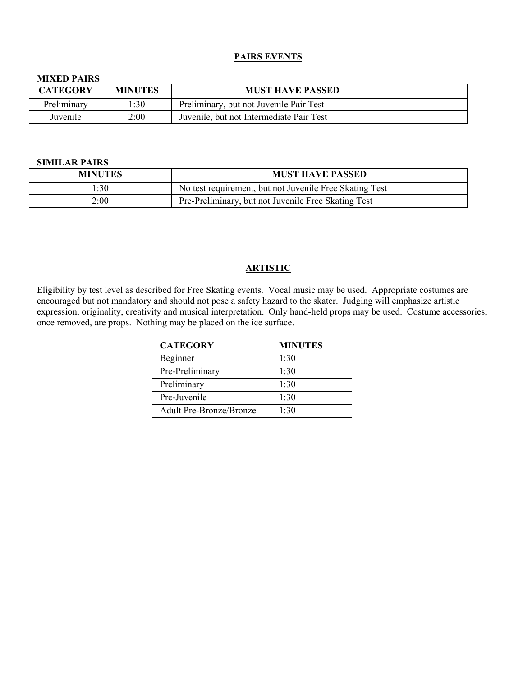#### **PAIRS EVENTS**

#### **MIXED PAIRS**

| <b>CATEGORY</b> | <b>MINUTES</b> | <b>MUST HAVE PASSED</b>                  |
|-----------------|----------------|------------------------------------------|
| Preliminary     | l:30           | Preliminary, but not Juvenile Pair Test  |
| Juvenile        | 2:00           | Juvenile, but not Intermediate Pair Test |

#### **SIMILAR PAIRS**

| <b>MINUTES</b> | <b>MUST HAVE PASSED</b>                                 |
|----------------|---------------------------------------------------------|
| 1:30           | No test requirement, but not Juvenile Free Skating Test |
| 2:00           | Pre-Preliminary, but not Juvenile Free Skating Test     |

#### **ARTISTIC**

Eligibility by test level as described for Free Skating events. Vocal music may be used. Appropriate costumes are encouraged but not mandatory and should not pose a safety hazard to the skater. Judging will emphasize artistic expression, originality, creativity and musical interpretation. Only hand-held props may be used. Costume accessories, once removed, are props. Nothing may be placed on the ice surface.

| <b>CATEGORY</b>                | <b>MINUTES</b> |
|--------------------------------|----------------|
| Beginner                       | 1:30           |
| Pre-Preliminary                | 1:30           |
| Preliminary                    | 1:30           |
| Pre-Juvenile                   | 1:30           |
| <b>Adult Pre-Bronze/Bronze</b> | 1:30           |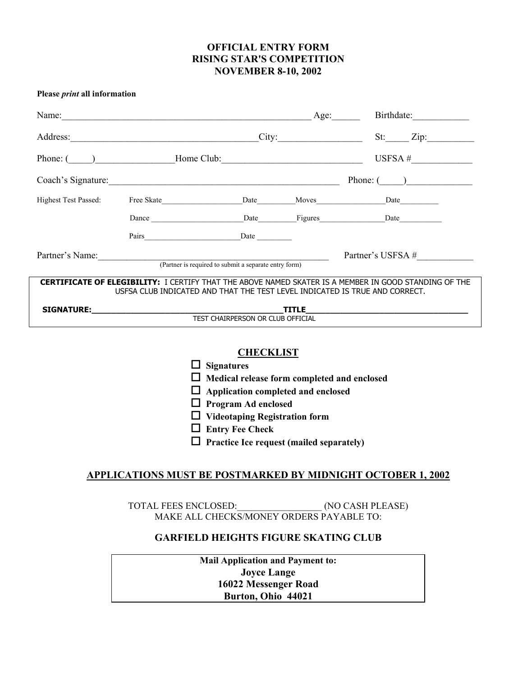# **OFFICIAL ENTRY FORM RISING STAR'S COMPETITION NOVEMBER 8-10, 2002**

**Please** *print* **all information**

| Name:                                                                                                                                                                                       |                                                                                                                                                                                                                               |                                   | Age:         | Birthdate:                        |
|---------------------------------------------------------------------------------------------------------------------------------------------------------------------------------------------|-------------------------------------------------------------------------------------------------------------------------------------------------------------------------------------------------------------------------------|-----------------------------------|--------------|-----------------------------------|
|                                                                                                                                                                                             | Address:                                                                                                                                                                                                                      |                                   | City:        | $St:$ $Zip:$                      |
|                                                                                                                                                                                             | Phone: ( ) Home Club:                                                                                                                                                                                                         |                                   |              | USFSA $#$                         |
|                                                                                                                                                                                             | Coach's Signature: 2008 and 2008 and 2008 and 2008 and 2008 and 2008 and 2008 and 2008 and 2008 and 2008 and 2008 and 2008 and 2008 and 2008 and 2008 and 2008 and 2008 and 2008 and 2008 and 2008 and 2008 and 2008 and 2008 |                                   |              | Phone: $($ )                      |
| <b>Highest Test Passed:</b>                                                                                                                                                                 | Free Skate                                                                                                                                                                                                                    | Date                              |              | Moves Monte March 2014            |
|                                                                                                                                                                                             |                                                                                                                                                                                                                               |                                   |              | Dance Date Date Figures Date Date |
|                                                                                                                                                                                             |                                                                                                                                                                                                                               | Date                              |              |                                   |
| Partner's Name:                                                                                                                                                                             |                                                                                                                                                                                                                               |                                   |              | Partner's USFSA #                 |
| (Partner is required to submit a separate entry form)                                                                                                                                       |                                                                                                                                                                                                                               |                                   |              |                                   |
| <b>CERTIFICATE OF ELEGIBILITY:</b> I CERTIFY THAT THE ABOVE NAMED SKATER IS A MEMBER IN GOOD STANDING OF THE<br>USESA CLUB INDICATED AND THAT THE TEST LEVEL INDICATED IS TRUE AND CORRECT. |                                                                                                                                                                                                                               |                                   |              |                                   |
| <b>SIGNATURE:</b>                                                                                                                                                                           |                                                                                                                                                                                                                               |                                   | <b>TITLE</b> |                                   |
|                                                                                                                                                                                             |                                                                                                                                                                                                                               | TEST CHAIRPERSON OR CLUB OFFICIAL |              |                                   |

#### **CHECKLIST**

 **Signatures Medical release form completed and enclosed Application completed and enclosed Program Ad enclosed Videotaping Registration form**

- **Entry Fee Check**
- **Practice Ice request (mailed separately)**

#### **APPLICATIONS MUST BE POSTMARKED BY MIDNIGHT OCTOBER 1, 2002**

TOTAL FEES ENCLOSED: (NO CASH PLEASE) MAKE ALL CHECKS/MONEY ORDERS PAYABLE TO:

## **GARFIELD HEIGHTS FIGURE SKATING CLUB**

**Mail Application and Payment to: Joyce Lange 16022 Messenger Road Burton, Ohio 44021**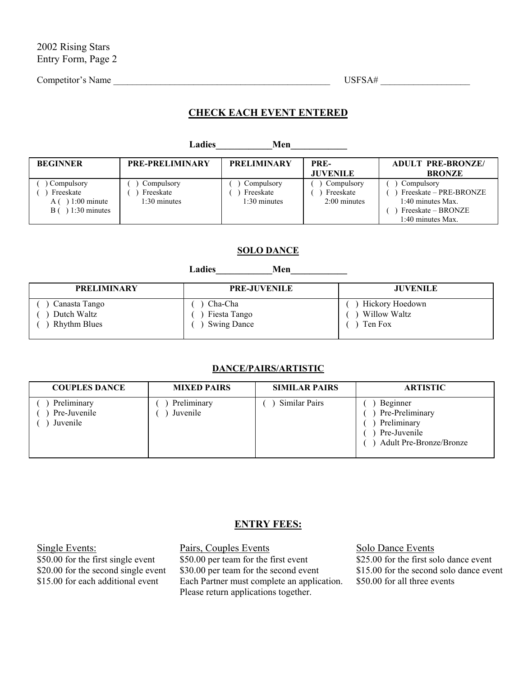Competitor's Name \_\_\_\_\_\_\_\_\_\_\_\_\_\_\_\_\_\_\_\_\_\_\_\_\_\_\_\_\_\_\_\_\_\_\_\_\_\_\_\_\_\_\_\_\_\_ USFSA# \_\_\_\_\_\_\_\_\_\_\_\_\_\_\_\_\_\_\_

# **CHECK EACH EVENT ENTERED**

| Ladies<br>Men                                                    |                                           |                                         |                                           |                                                                                                      |
|------------------------------------------------------------------|-------------------------------------------|-----------------------------------------|-------------------------------------------|------------------------------------------------------------------------------------------------------|
| <b>BEGINNER</b>                                                  | <b>PRE-PRELIMINARY</b>                    | <b>PRELIMINARY</b>                      | PRE-<br><b>JUVENILE</b>                   | <b>ADULT PRE-BRONZE/</b><br><b>BRONZE</b>                                                            |
| Compulsory<br>Freeskate<br>$1:00$ minute<br>ΑI<br>$1:30$ minutes | Compulsory<br>Freeskate<br>$1:30$ minutes | Compulsory<br>Freeskate<br>1:30 minutes | Compulsory<br>Freeskate<br>$2:00$ minutes | Compulsory<br>Freeskate – PRE-BRONZE<br>1:40 minutes Max.<br>Freeskate – BRONZE<br>1:40 minutes Max. |

#### **SOLO DANCE**

**Ladies\_\_\_\_\_\_\_\_\_\_\_\_Men\_\_\_\_\_\_\_\_\_\_\_\_**

| <b>PRELIMINARY</b>  | <b>PRE-JUVENILE</b> | <b>JUVENILE</b> |
|---------------------|---------------------|-----------------|
| Canasta Tango       | Cha-Cha             | Hickory Hoedown |
| Dutch Waltz         | Fiesta Tango        | Willow Waltz    |
| <b>Rhythm Blues</b> | <b>Swing Dance</b>  | Ten Fox         |

#### **DANCE/PAIRS/ARTISTIC**

| <b>COUPLES DANCE</b>                    | <b>MIXED PAIRS</b>      | <b>SIMILAR PAIRS</b> | <b>ARTISTIC</b>                                                                              |
|-----------------------------------------|-------------------------|----------------------|----------------------------------------------------------------------------------------------|
| Preliminary<br>Pre-Juvenile<br>Juvenile | Preliminary<br>Juvenile | Similar Pairs        | Beginner<br>Pre-Preliminary<br>Preliminary<br>Pre-Juvenile<br><b>Adult Pre-Bronze/Bronze</b> |

## **ENTRY FEES:**

\$50.00 for the first single event \$50.00 per team for the first event \$20.00 for the second single event \$30.00 per team for the second eve

\$30.00 per team for the second event \$15.00 for the second solo dance event \$15.00 for each additional event Each Partner must complete an application. Please return applications together.

Single Events:<br>
Solo Dance Events<br>
Solo Dance Events<br>
Solo Dance Events<br>
Solo Dance Events<br>
Solo Of the first solo dance event<br>
Solo Of the first solo dance event<br>
Solo Of the first solo dance event \$50.00 for all three events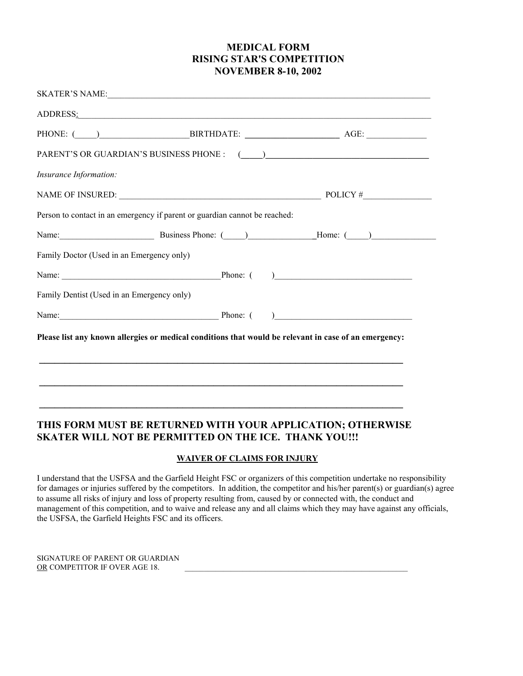# **MEDICAL FORM RISING STAR'S COMPETITION NOVEMBER 8-10, 2002**

| ADDRESS:                                   |                                                                                                                                                                                                                                |  |
|--------------------------------------------|--------------------------------------------------------------------------------------------------------------------------------------------------------------------------------------------------------------------------------|--|
|                                            |                                                                                                                                                                                                                                |  |
|                                            |                                                                                                                                                                                                                                |  |
|                                            |                                                                                                                                                                                                                                |  |
| Insurance Information:                     |                                                                                                                                                                                                                                |  |
|                                            | NAME OF INSURED: $\qquad \qquad$ POLICY #                                                                                                                                                                                      |  |
|                                            | Person to contact in an emergency if parent or guardian cannot be reached:                                                                                                                                                     |  |
|                                            | Name: Business Phone: (Calculation and Home: (Calculation and Home: (Calculation and Home: (Calculation and Home: (Calculation and Home: (Calculation and Home: (Calculation and Home: (Calculation and Home: (Calculation and |  |
| Family Doctor (Used in an Emergency only)  |                                                                                                                                                                                                                                |  |
|                                            |                                                                                                                                                                                                                                |  |
| Family Dentist (Used in an Emergency only) |                                                                                                                                                                                                                                |  |
|                                            | Name: Phone: ( )                                                                                                                                                                                                               |  |
|                                            | Please list any known allergies or medical conditions that would be relevant in case of an emergency:                                                                                                                          |  |
|                                            |                                                                                                                                                                                                                                |  |
|                                            | ,我们也不会有什么。""我们的人,我们也不会有什么?""我们的人,我们也不会有什么?""我们的人,我们也不会有什么?""我们的人,我们也不会有什么?""我们的人                                                                                                                                               |  |

# **THIS FORM MUST BE RETURNED WITH YOUR APPLICATION; OTHERWISE SKATER WILL NOT BE PERMITTED ON THE ICE. THANK YOU!!!**

#### **WAIVER OF CLAIMS FOR INJURY**

I understand that the USFSA and the Garfield Height FSC or organizers of this competition undertake no responsibility for damages or injuries suffered by the competitors. In addition, the competitor and his/her parent(s) or guardian(s) agree to assume all risks of injury and loss of property resulting from, caused by or connected with, the conduct and management of this competition, and to waive and release any and all claims which they may have against any officials, the USFSA, the Garfield Heights FSC and its officers.

SIGNATURE OF PARENT OR GUARDIAN OR COMPETITOR IF OVER AGE 18.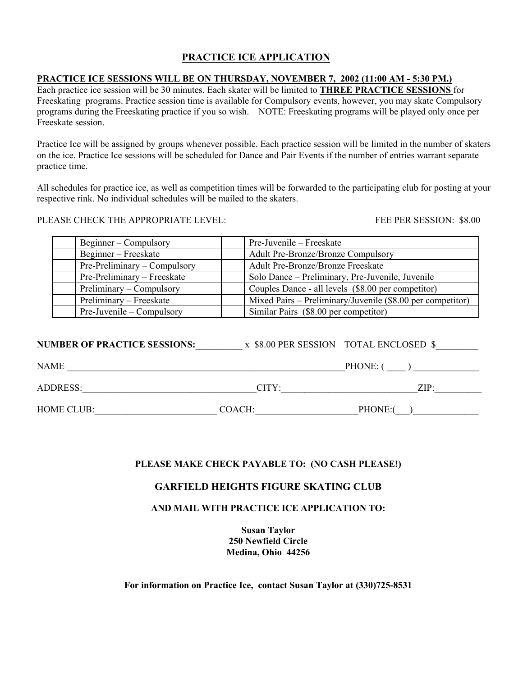# **PRACTICE ICE APPLICATION**

## **PRACTICE ICE SESSIONS WILL BE ON THURSDAY, NOVEMBER 7, 2002 (11:00 AM - 5:30 PM.)**

Each practice ice session will be 30 minutes. Each skater will be limited to **THREE PRACTICE SESSIONS** for Freeskating programs. Practice session time is available for Compulsory events, however, you may skate Compulsory programs during the Freeskating practice if you so wish. NOTE: Freeskating programs will be played only once per Freeskate session.

Practice Ice will be assigned by groups whenever possible. Each practice session will be limited in the number of skaters on the ice. Practice Ice sessions will be scheduled for Dance and Pair Events if the number of entries warrant separate practice time.

All schedules for practice ice, as well as competition times will be forwarded to the participating club for posting at your respective rink. No individual schedules will be mailed to the skaters.

PLEASE CHECK THE APPROPRIATE LEVEL: FEE PER SESSION: \$8.00

| Beginner – Compulsory        | Pre-Juvenile – Freeskate                                   |
|------------------------------|------------------------------------------------------------|
| Beginner – Freeskate         | <b>Adult Pre-Bronze/Bronze Compulsory</b>                  |
| Pre-Preliminary – Compulsory | <b>Adult Pre-Bronze/Bronze Freeskate</b>                   |
| Pre-Preliminary – Freeskate  | Solo Dance – Preliminary, Pre-Juvenile, Juvenile           |
| Preliminary – Compulsory     | Couples Dance - all levels (\$8.00 per competitor)         |
| Preliminary – Freeskate      | Mixed Pairs – Preliminary/Juvenile (\$8.00 per competitor) |
| Pre-Juvenile – Compulsory    | Similar Pairs (\$8.00 per competitor)                      |

| <b>NUMBER OF PRACTICE SESSIONS:</b> |        | x \$8.00 PER SESSION TOTAL ENCLOSED \$ |
|-------------------------------------|--------|----------------------------------------|
| <b>NAME</b>                         |        | PHONE: 0                               |
| <b>ADDRESS:</b>                     | CITY:  | ZIP:                                   |
| HOME CLUB:                          | COACH: | <b>PHONE:</b>                          |

## **PLEASE MAKE CHECK PAYABLE TO: (NO CASH PLEASE!)**

## **GARFIELD HEIGHTS FIGURE SKATING CLUB**

## **AND MAIL WITH PRACTICE ICE APPLICATION TO:**

**Susan Taylor 250 Newfield Circle Medina, Ohio 44256**

**For information on Practice Ice, contact Susan Taylor at (330)725-8531**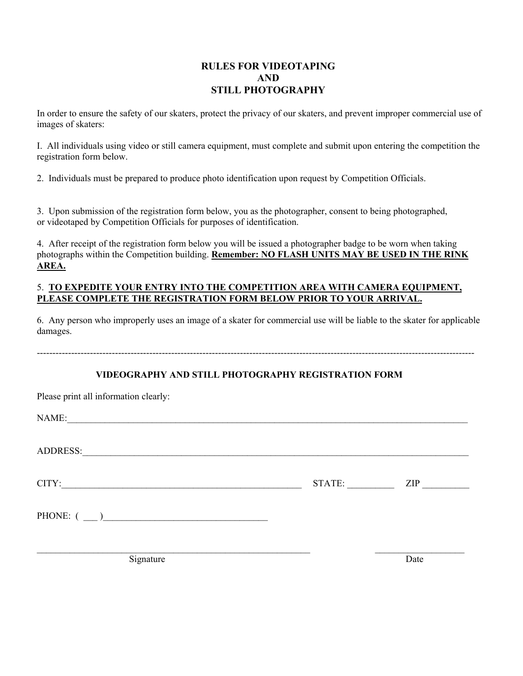# **RULES FOR VIDEOTAPING AND STILL PHOTOGRAPHY**

In order to ensure the safety of our skaters, protect the privacy of our skaters, and prevent improper commercial use of images of skaters:

I. All individuals using video or still camera equipment, must complete and submit upon entering the competition the registration form below.

2. Individuals must be prepared to produce photo identification upon request by Competition Officials.

3. Upon submission of the registration form below, you as the photographer, consent to being photographed, or videotaped by Competition Officials for purposes of identification.

4. After receipt of the registration form below you will be issued a photographer badge to be worn when taking photographs within the Competition building. **Remember: NO FLASH UNITS MAY BE USED IN THE RINK AREA.**

#### 5. **TO EXPEDITE YOUR ENTRY INTO THE COMPETITION AREA WITH CAMERA EQUIPMENT, PLEASE COMPLETE THE REGISTRATION FORM BELOW PRIOR TO YOUR ARRIVAL.**

6. Any person who improperly uses an image of a skater for commercial use will be liable to the skater for applicable damages.

--------------------------------------------------------------------------------------------------------------------------------------------

## **VIDEOGRAPHY AND STILL PHOTOGRAPHY REGISTRATION FORM**

| Please print all information clearly:                                                                                          |        |      |
|--------------------------------------------------------------------------------------------------------------------------------|--------|------|
| NAME:<br><u> 1989 - Jan Alexandria de Alexandria de la contrada de la contrada de la contrada de la contrada de la contrad</u> |        |      |
| ADDRESS:                                                                                                                       |        |      |
| CITY:                                                                                                                          | STATE: | ZIP  |
| PHONE: ()                                                                                                                      |        |      |
| Signature                                                                                                                      |        | Date |